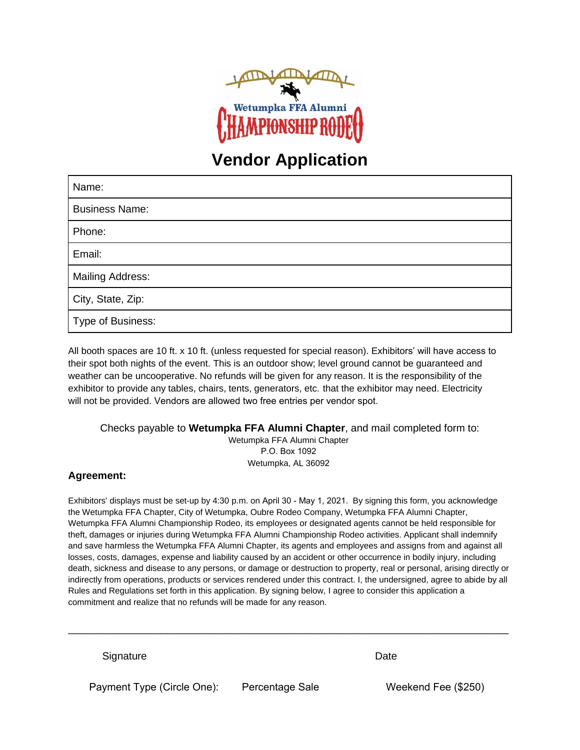

# **Vendor Application**

| Name:                   |
|-------------------------|
| <b>Business Name:</b>   |
| Phone:                  |
| Email:                  |
| <b>Mailing Address:</b> |
| City, State, Zip:       |
| Type of Business:       |

All booth spaces are 10 ft. x 10 ft. (unless requested for special reason). Exhibitors' will have access to their spot both nights of the event. This is an outdoor show; level ground cannot be guaranteed and weather can be uncooperative. No refunds will be given for any reason. It is the responsibility of the exhibitor to provide any tables, chairs, tents, generators, etc. that the exhibitor may need. Electricity will not be provided. Vendors are allowed two free entries per vendor spot.

#### Checks payable to **Wetumpka FFA Alumni Chapter**, and mail completed form to: Wetumpka FFA Alumni Chapter P.O. Box 1092 Wetumpka, AL 36092

### **Agreement:**

Exhibitors' displays must be set-up by 4:30 p.m. on April 30 - May 1, 2021. By signing this form, you acknowledge the Wetumpka FFA Chapter, City of Wetumpka, Oubre Rodeo Company, Wetumpka FFA Alumni Chapter, Wetumpka FFA Alumni Championship Rodeo, its employees or designated agents cannot be held responsible for theft, damages or injuries during Wetumpka FFA Alumni Championship Rodeo activities. Applicant shall indemnify and save harmless the Wetumpka FFA Alumni Chapter, its agents and employees and assigns from and against all losses, costs, damages, expense and liability caused by an accident or other occurrence in bodily injury, including death, sickness and disease to any persons, or damage or destruction to property, real or personal, arising directly or indirectly from operations, products or services rendered under this contract. I, the undersigned, agree to abide by all Rules and Regulations set forth in this application. By signing below, I agree to consider this application a commitment and realize that no refunds will be made for any reason.

\_\_\_\_\_\_\_\_\_\_\_\_\_\_\_\_\_\_\_\_\_\_\_\_\_\_\_\_\_\_\_\_\_\_\_\_\_\_\_\_\_\_\_\_\_\_\_\_\_\_\_\_\_\_\_\_\_\_\_\_\_\_\_\_\_\_\_\_\_\_\_\_\_\_\_\_

Signature **Date** 

Payment Type (Circle One): Percentage Sale Weekend Fee (\$250)